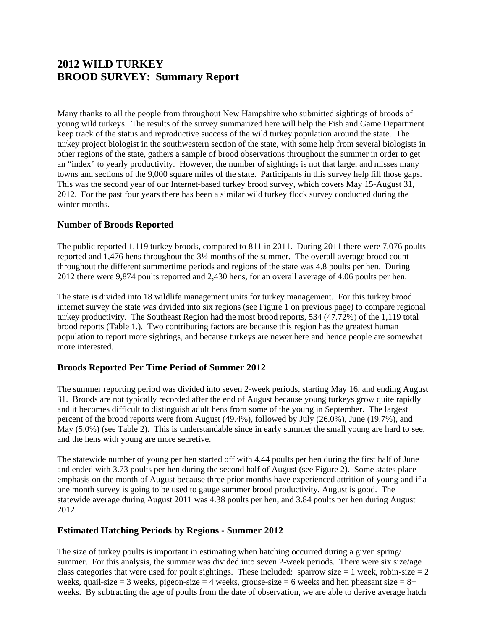# **2012 WILD TURKEY BROOD SURVEY: Summary Report**

Many thanks to all the people from throughout New Hampshire who submitted sightings of broods of young wild turkeys. The results of the survey summarized here will help the Fish and Game Department keep track of the status and reproductive success of the wild turkey population around the state. The turkey project biologist in the southwestern section of the state, with some help from several biologists in other regions of the state, gathers a sample of brood observations throughout the summer in order to get an "index" to yearly productivity. However, the number of sightings is not that large, and misses many towns and sections of the 9,000 square miles of the state. Participants in this survey help fill those gaps. This was the second year of our Internet-based turkey brood survey, which covers May 15-August 31, 2012. For the past four years there has been a similar wild turkey flock survey conducted during the winter months.

## **Number of Broods Reported**

The public reported 1,119 turkey broods, compared to 811 in 2011. During 2011 there were 7,076 poults reported and 1,476 hens throughout the 3½ months of the summer. The overall average brood count throughout the different summertime periods and regions of the state was 4.8 poults per hen. During 2012 there were 9,874 poults reported and 2,430 hens, for an overall average of 4.06 poults per hen.

The state is divided into 18 wildlife management units for turkey management. For this turkey brood internet survey the state was divided into six regions (see Figure 1 on previous page) to compare regional turkey productivity. The Southeast Region had the most brood reports, 534 (47.72%) of the 1,119 total brood reports (Table 1.). Two contributing factors are because this region has the greatest human population to report more sightings, and because turkeys are newer here and hence people are somewhat more interested.

## **Broods Reported Per Time Period of Summer 2012**

The summer reporting period was divided into seven 2-week periods, starting May 16, and ending August 31. Broods are not typically recorded after the end of August because young turkeys grow quite rapidly and it becomes difficult to distinguish adult hens from some of the young in September. The largest percent of the brood reports were from August (49.4%), followed by July (26.0%), June (19.7%), and May (5.0%) (see Table 2). This is understandable since in early summer the small young are hard to see, and the hens with young are more secretive.

The statewide number of young per hen started off with 4.44 poults per hen during the first half of June and ended with 3.73 poults per hen during the second half of August (see Figure 2). Some states place emphasis on the month of August because three prior months have experienced attrition of young and if a one month survey is going to be used to gauge summer brood productivity, August is good. The statewide average during August 2011 was 4.38 poults per hen, and 3.84 poults per hen during August 2012.

#### **Estimated Hatching Periods by Regions - Summer 2012**

The size of turkey poults is important in estimating when hatching occurred during a given spring/ summer. For this analysis, the summer was divided into seven 2-week periods. There were six size/age class categories that were used for poult sightings. These included: sparrow size  $= 1$  week, robin-size  $= 2$ weeks, quail-size = 3 weeks, pigeon-size = 4 weeks, grouse-size = 6 weeks and hen pheasant size =  $8+$ weeks. By subtracting the age of poults from the date of observation, we are able to derive average hatch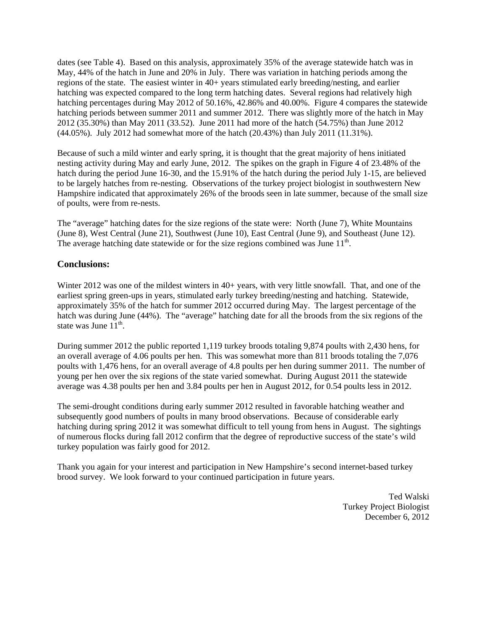dates (see Table 4). Based on this analysis, approximately 35% of the average statewide hatch was in May, 44% of the hatch in June and 20% in July. There was variation in hatching periods among the regions of the state. The easiest winter in 40+ years stimulated early breeding/nesting, and earlier hatching was expected compared to the long term hatching dates. Several regions had relatively high hatching percentages during May 2012 of 50.16%, 42.86% and 40.00%. Figure 4 compares the statewide hatching periods between summer 2011 and summer 2012. There was slightly more of the hatch in May 2012 (35.30%) than May 2011 (33.52). June 2011 had more of the hatch (54.75%) than June 2012 (44.05%). July 2012 had somewhat more of the hatch (20.43%) than July 2011 (11.31%).

Because of such a mild winter and early spring, it is thought that the great majority of hens initiated nesting activity during May and early June, 2012. The spikes on the graph in Figure 4 of 23.48% of the hatch during the period June 16-30, and the 15.91% of the hatch during the period July 1-15, are believed to be largely hatches from re-nesting. Observations of the turkey project biologist in southwestern New Hampshire indicated that approximately 26% of the broods seen in late summer, because of the small size of poults, were from re-nests.

The "average" hatching dates for the size regions of the state were: North (June 7), White Mountains (June 8), West Central (June 21), Southwest (June 10), East Central (June 9), and Southeast (June 12). The average hatching date statewide or for the size regions combined was June  $11<sup>th</sup>$ .

#### **Conclusions:**

Winter 2012 was one of the mildest winters in 40+ years, with very little snowfall. That, and one of the earliest spring green-ups in years, stimulated early turkey breeding/nesting and hatching. Statewide, approximately 35% of the hatch for summer 2012 occurred during May. The largest percentage of the hatch was during June (44%). The "average" hatching date for all the broods from the six regions of the state was June  $11^{th}$ .

During summer 2012 the public reported 1,119 turkey broods totaling 9,874 poults with 2,430 hens, for an overall average of 4.06 poults per hen. This was somewhat more than 811 broods totaling the 7,076 poults with 1,476 hens, for an overall average of 4.8 poults per hen during summer 2011. The number of young per hen over the six regions of the state varied somewhat. During August 2011 the statewide average was 4.38 poults per hen and 3.84 poults per hen in August 2012, for 0.54 poults less in 2012.

The semi-drought conditions during early summer 2012 resulted in favorable hatching weather and subsequently good numbers of poults in many brood observations. Because of considerable early hatching during spring 2012 it was somewhat difficult to tell young from hens in August. The sightings of numerous flocks during fall 2012 confirm that the degree of reproductive success of the state's wild turkey population was fairly good for 2012.

Thank you again for your interest and participation in New Hampshire's second internet-based turkey brood survey. We look forward to your continued participation in future years.

> Ted Walski Turkey Project Biologist December 6, 2012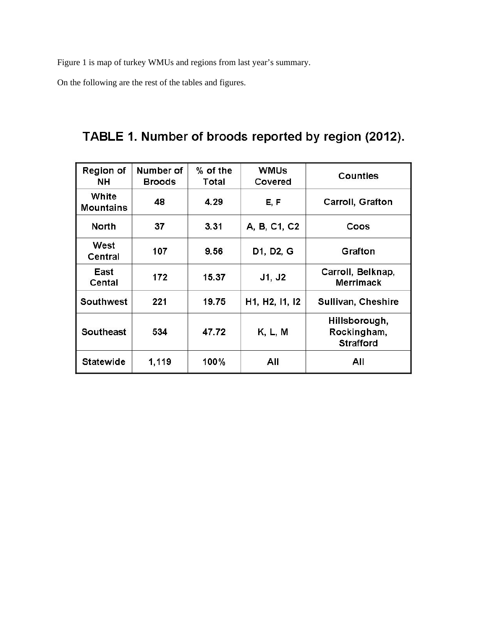Figure 1 is map of turkey WMUs and regions from last year's summary.

On the following are the rest of the tables and figures.

TABLE 1. Number of broods reported by region (2012).

| <b>Region of</b><br>NΗ    | Number of<br><b>Broods</b> | $%$ of the<br>Total | <b>WMUs</b><br>Covered | <b>Counties</b>                                  |
|---------------------------|----------------------------|---------------------|------------------------|--------------------------------------------------|
| White<br><b>Mountains</b> | 48                         | 4.29                | E, F                   | Carroll, Grafton                                 |
| North                     | 37                         | 3.31                | A, B, C1, C2           | Coos                                             |
| West<br>Central           | 107                        | 9.56                | D1, D2, G              | Grafton                                          |
| East<br>Cental            | 172                        | 15.37               | J1, J2                 | Carroll, Belknap,<br><b>Merrimack</b>            |
| Southwest                 | 221                        | 19.75               | H1, H2, I1, I2         | Sullivan, Cheshire                               |
| <b>Southeast</b>          | 534                        | 47.72               | K, L, M                | Hillsborough,<br>Rockingham,<br><b>Strafford</b> |
| <b>Statewide</b>          | 1,119                      | 100%                | All                    | All                                              |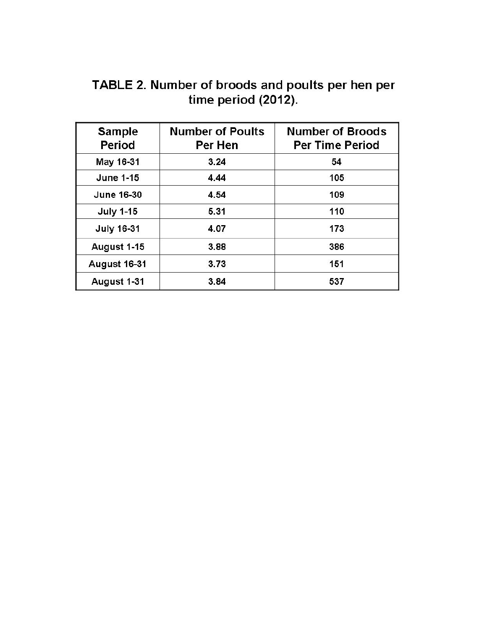TABLE 2. Number of broods and poults per hen per<br>time period (2012).

| <b>Sample</b><br>Period | <b>Number of Poults</b><br>Per Hen | <b>Number of Broods</b><br><b>Per Time Period</b> |  |  |  |
|-------------------------|------------------------------------|---------------------------------------------------|--|--|--|
| May 16-31               | 3.24                               | 54                                                |  |  |  |
| <b>June 1-15</b>        | 4.44                               | 105                                               |  |  |  |
| <b>June 16-30</b>       | 4.54                               | 109                                               |  |  |  |
| <b>July 1-15</b>        | 5.31                               | 110                                               |  |  |  |
| <b>July 16-31</b>       | 4.07                               | 173                                               |  |  |  |
| August 1-15             | 3.88                               | 386                                               |  |  |  |
| <b>August 16-31</b>     | 3.73                               | 151                                               |  |  |  |
| August 1-31             | 3.84                               | 537                                               |  |  |  |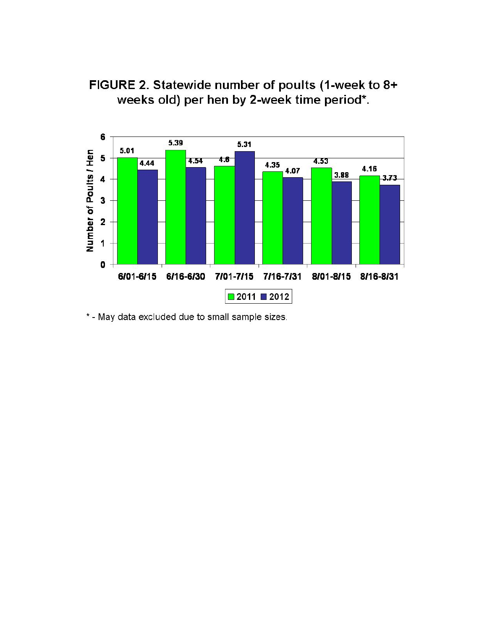

FIGURE 2. Statewide number of poults (1-week to 8+ weeks old) per hen by 2-week time period\*.

\* - May data excluded due to small sample sizes.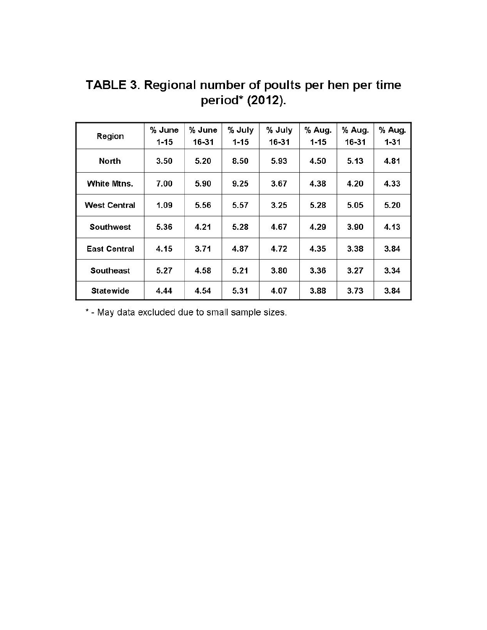| Region              | % June<br>$1 - 15$ | % June<br>16-31 | % July<br>$1 - 15$ | % July<br>16-31 | % Aug.<br>$1 - 15$ | % Aug.<br>16-31 | % Aug.<br>$1 - 31$ |
|---------------------|--------------------|-----------------|--------------------|-----------------|--------------------|-----------------|--------------------|
| <b>North</b>        | 3.50               | 5.20            | 8.50               | 5.93            | 4.50               | 5.13            | 4.81               |
| White Mtns.         | 7.00               | 5.90            | 9.25               | 3.67            | 4.38               | 4.20            | 4.33               |
| <b>West Central</b> | 1.09               | 5.56            | 5.57               | 3.25            | 5.28               | 5.05            | 5.20               |
| Southwest           | 5.36               | 4.21            | 5.28               | 4.67            | 4.29               | 3.90            | 4.13               |
| <b>East Central</b> | 4.15               | 3.71            | 4.87               | 4.72            | 4.35               | 3.38            | 3.84               |
| <b>Southeast</b>    | 5.27               | 4.58            | 5.21               | 3.80            | 3.36               | 3.27            | 3.34               |
| <b>Statewide</b>    | 4.44               | 4.54            | 5.31               | 4.07            | 3.88               | 3.73            | 3.84               |

TABLE 3. Regional number of poults per hen per time period\* (2012).

\* - May data excluded due to small sample sizes.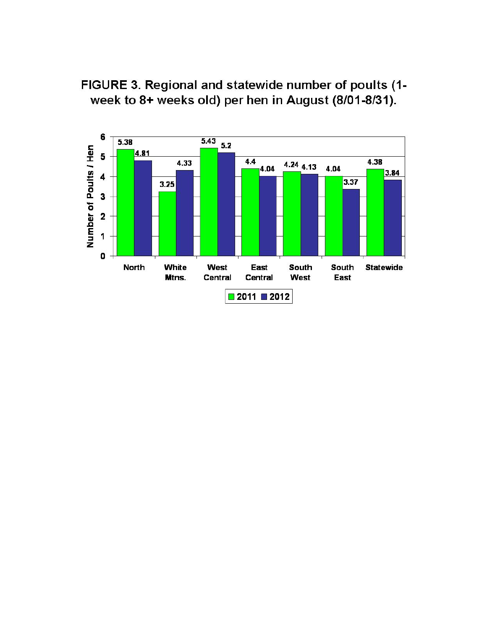

FIGURE 3. Regional and statewide number of poults (1week to 8+ weeks old) per hen in August (8/01-8/31).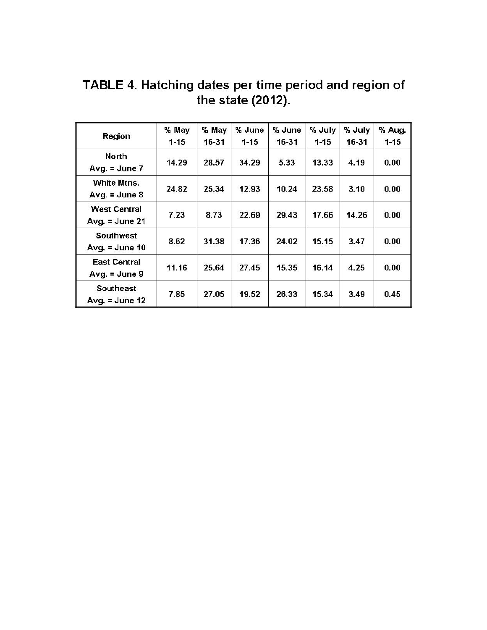| Region                                  | % May<br>$1 - 15$ | % May<br>16-31 | % June<br>$1 - 15$ | % June<br>16-31 | % July<br>$1 - 15$ | % July<br>16-31 | % Aug.<br>$1 - 15$ |
|-----------------------------------------|-------------------|----------------|--------------------|-----------------|--------------------|-----------------|--------------------|
| North<br>Avg. $=$ June 7                | 14.29             | 28.57          | 34.29              | 5.33            | 13.33              | 4.19            | 0.00               |
| White Mtns.<br>Avg. $=$ June 8          | 24.82             | 25.34          | 12.93              | 10.24           | 23.58              | 3.10            | 0.00               |
| <b>West Central</b><br>Avg. $=$ June 21 | 7.23              | 8.73           | 22.69              | 29.43           | 17.66              | 14.26           | 0.00               |
| <b>Southwest</b><br>Avg. $=$ June 10    | 8.62              | 31.38          | 17.36              | 24.02           | 15.15              | 3.47            | 0.00               |
| <b>East Central</b><br>Avg. $=$ June 9  | 11.16             | 25.64          | 27.45              | 15.35           | 16.14              | 4.25            | 0.00               |
| <b>Southeast</b><br>Avg. $=$ June 12    | 7.85              | 27.05          | 19.52              | 26.33           | 15.34              | 3.49            | 0.45               |

TABLE 4. Hatching dates per time period and region of the state (2012).